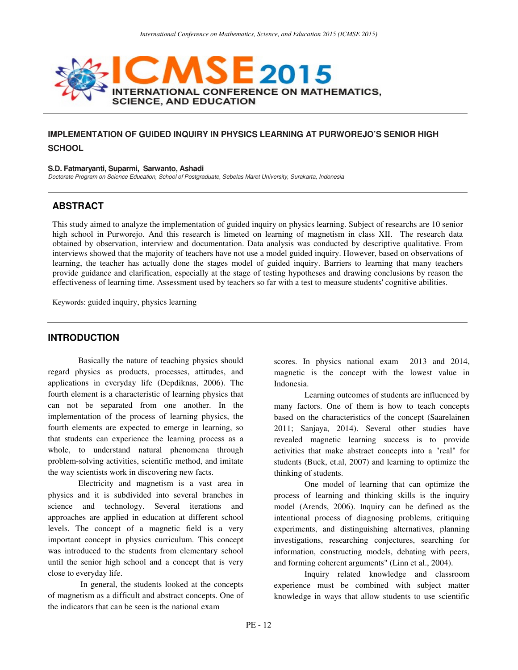

# **IMPLEMENTATION OF GUIDED INQUIRY IN PHYSICS LEARNING AT PURWOREJO'S SENIOR HIGH SCHOOL**

#### **S.D. Fatmaryanti, Suparmi, Sarwanto, Ashadi**

Doctorate Program on Science Education, School of Postgraduate, Sebelas Maret University, Surakarta, Indonesia

## **ABSTRACT**

This study aimed to analyze the implementation of guided inquiry on physics learning. Subject of researchs are 10 senior high school in Purworejo. And this research is limeted on learning of magnetism in class XII. The research data obtained by observation, interview and documentation. Data analysis was conducted by descriptive qualitative. From interviews showed that the majority of teachers have not use a model guided inquiry. However, based on observations of learning, the teacher has actually done the stages model of guided inquiry. Barriers to learning that many teachers provide guidance and clarification, especially at the stage of testing hypotheses and drawing conclusions by reason the effectiveness of learning time. Assessment used by teachers so far with a test to measure students' cognitive abilities.

Keywords: guided inquiry, physics learning

### **INTRODUCTION**

Basically the nature of teaching physics should regard physics as products, processes, attitudes, and applications in everyday life (Depdiknas, 2006). The fourth element is a characteristic of learning physics that can not be separated from one another. In the implementation of the process of learning physics, the fourth elements are expected to emerge in learning, so that students can experience the learning process as a whole, to understand natural phenomena through problem-solving activities, scientific method, and imitate the way scientists work in discovering new facts.

Electricity and magnetism is a vast area in physics and it is subdivided into several branches in science and technology. Several iterations and approaches are applied in education at different school levels. The concept of a magnetic field is a very important concept in physics curriculum. This concept was introduced to the students from elementary school until the senior high school and a concept that is very close to everyday life.

 In general, the students looked at the concepts of magnetism as a difficult and abstract concepts. One of the indicators that can be seen is the national exam

scores. In physics national exam 2013 and 2014, magnetic is the concept with the lowest value in Indonesia.

Learning outcomes of students are influenced by many factors. One of them is how to teach concepts based on the characteristics of the concept (Saarelainen 2011; Sanjaya, 2014). Several other studies have revealed magnetic learning success is to provide activities that make abstract concepts into a "real" for students (Buck, et.al, 2007) and learning to optimize the thinking of students.

One model of learning that can optimize the process of learning and thinking skills is the inquiry model (Arends, 2006). Inquiry can be defined as the intentional process of diagnosing problems, critiquing experiments, and distinguishing alternatives, planning investigations, researching conjectures, searching for information, constructing models, debating with peers, and forming coherent arguments" (Linn et al., 2004).

Inquiry related knowledge and classroom experience must be combined with subject matter knowledge in ways that allow students to use scientific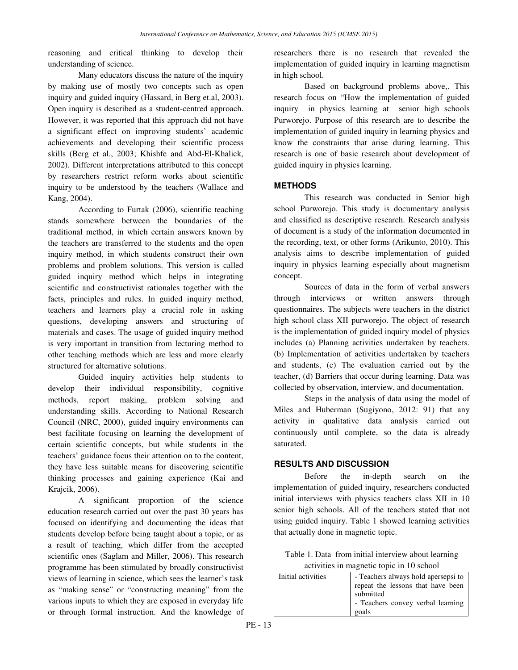reasoning and critical thinking to develop their understanding of science.

Many educators discuss the nature of the inquiry by making use of mostly two concepts such as open inquiry and guided inquiry (Hassard, in Berg et.al, 2003). Open inquiry is described as a student-centred approach. However, it was reported that this approach did not have a significant effect on improving students' academic achievements and developing their scientific process skills (Berg et al., 2003; Khishfe and Abd-El-Khalick, 2002). Different interpretations attributed to this concept by researchers restrict reform works about scientific inquiry to be understood by the teachers (Wallace and Kang, 2004).

According to Furtak (2006), scientific teaching stands somewhere between the boundaries of the traditional method, in which certain answers known by the teachers are transferred to the students and the open inquiry method, in which students construct their own problems and problem solutions. This version is called guided inquiry method which helps in integrating scientific and constructivist rationales together with the facts, principles and rules. In guided inquiry method, teachers and learners play a crucial role in asking questions, developing answers and structuring of materials and cases. The usage of guided inquiry method is very important in transition from lecturing method to other teaching methods which are less and more clearly structured for alternative solutions.

Guided inquiry activities help students to develop their individual responsibility, cognitive methods, report making, problem solving and understanding skills. According to National Research Council (NRC, 2000), guided inquiry environments can best facilitate focusing on learning the development of certain scientific concepts, but while students in the teachers' guidance focus their attention on to the content, they have less suitable means for discovering scientific thinking processes and gaining experience (Kai and Krajcik, 2006).

A significant proportion of the science education research carried out over the past 30 years has focused on identifying and documenting the ideas that students develop before being taught about a topic, or as a result of teaching, which differ from the accepted scientific ones (Saglam and Miller, 2006). This research programme has been stimulated by broadly constructivist views of learning in science, which sees the learner's task as "making sense" or "constructing meaning" from the various inputs to which they are exposed in everyday life or through formal instruction. And the knowledge of

researchers there is no research that revealed the implementation of guided inquiry in learning magnetism in high school.

Based on background problems above,. This research focus on "How the implementation of guided inquiry in physics learning at senior high schools Purworejo. Purpose of this research are to describe the implementation of guided inquiry in learning physics and know the constraints that arise during learning. This research is one of basic research about development of guided inquiry in physics learning.

#### **METHODS**

This research was conducted in Senior high school Purworejo. This study is documentary analysis and classified as descriptive research. Research analysis of document is a study of the information documented in the recording, text, or other forms (Arikunto, 2010). This analysis aims to describe implementation of guided inquiry in physics learning especially about magnetism concept.

Sources of data in the form of verbal answers through interviews or written answers through questionnaires. The subjects were teachers in the district high school class XII purworejo. The object of research is the implementation of guided inquiry model of physics includes (a) Planning activities undertaken by teachers. (b) Implementation of activities undertaken by teachers and students, (c) The evaluation carried out by the teacher, (d) Barriers that occur during learning. Data was collected by observation, interview, and documentation.

Steps in the analysis of data using the model of Miles and Huberman (Sugiyono, 2012: 91) that any activity in qualitative data analysis carried out continuously until complete, so the data is already saturated.

#### **RESULTS AND DISCUSSION**

Before the in-depth search on the implementation of guided inquiry, researchers conducted initial interviews with physics teachers class XII in 10 senior high schools. All of the teachers stated that not using guided inquiry. Table 1 showed learning activities that actually done in magnetic topic.

Table 1. Data from initial interview about learning activities in magnetic topic in 10 school

| Initial activities | - Teachers always hold apersepsi to<br>repeat the lessons that have been |  |
|--------------------|--------------------------------------------------------------------------|--|
|                    | submitted                                                                |  |
|                    | - Teachers convey verbal learning                                        |  |
|                    | goals                                                                    |  |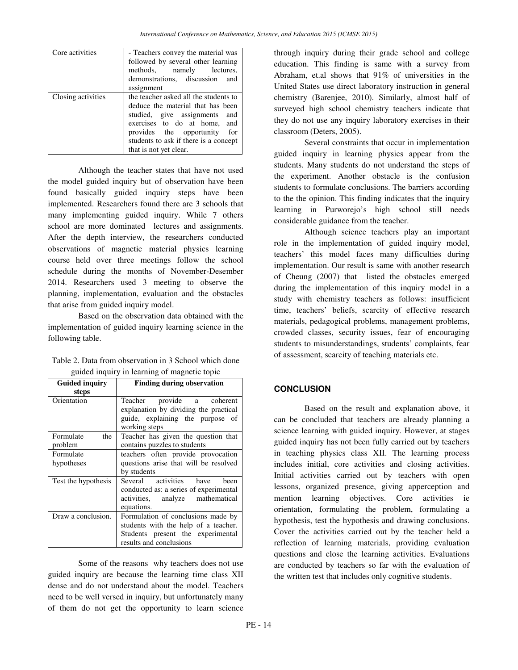| Core activities    | - Teachers convey the material was<br>followed by several other learning<br>methods, namely lectures,<br>demonstrations, discussion and<br>assignment                                                                                          |
|--------------------|------------------------------------------------------------------------------------------------------------------------------------------------------------------------------------------------------------------------------------------------|
| Closing activities | the teacher asked all the students to<br>deduce the material that has been<br>studied, give assignments and<br>exercises to do at home, and<br>provides the opportunity for<br>students to ask if there is a concept<br>that is not yet clear. |

Although the teacher states that have not used the model guided inquiry but of observation have been found basically guided inquiry steps have been implemented. Researchers found there are 3 schools that many implementing guided inquiry. While 7 others school are more dominated lectures and assignments. After the depth interview, the researchers conducted observations of magnetic material physics learning course held over three meetings follow the school schedule during the months of November-Desember 2014. Researchers used 3 meeting to observe the planning, implementation, evaluation and the obstacles that arise from guided inquiry model.

Based on the observation data obtained with the implementation of guided inquiry learning science in the following table.

| Table 2. Data from observation in 3 School which done |
|-------------------------------------------------------|
| guided inquiry in learning of magnetic topic          |

| <b>Guided inquiry</b>       | <b>Finding during observation</b>                                                                                                          |
|-----------------------------|--------------------------------------------------------------------------------------------------------------------------------------------|
| steps                       |                                                                                                                                            |
| Orientation                 | Teacher provide a coherent<br>explanation by dividing the practical<br>guide, explaining the purpose of<br>working steps                   |
| Formulate<br>the<br>problem | Teacher has given the question that<br>contains puzzles to students                                                                        |
| Formulate<br>hypotheses     | teachers often provide provocation<br>questions arise that will be resolved<br>by students                                                 |
| Test the hypothesis         | Several activities have<br>been<br>conducted as: a series of experimental<br>activities, analyze mathematical<br>equations.                |
| Draw a conclusion.          | Formulation of conclusions made by<br>students with the help of a teacher.<br>Students present the experimental<br>results and conclusions |

Some of the reasons why teachers does not use guided inquiry are because the learning time class XII dense and do not understand about the model. Teachers need to be well versed in inquiry, but unfortunately many of them do not get the opportunity to learn science

through inquiry during their grade school and college education. This finding is same with a survey from Abraham, et.al shows that 91% of universities in the United States use direct laboratory instruction in general chemistry (Barenjee, 2010). Similarly, almost half of surveyed high school chemistry teachers indicate that they do not use any inquiry laboratory exercises in their classroom (Deters, 2005).

Several constraints that occur in implementation guided inquiry in learning physics appear from the students. Many students do not understand the steps of the experiment. Another obstacle is the confusion students to formulate conclusions. The barriers according to the the opinion. This finding indicates that the inquiry learning in Purworejo's high school still needs considerable guidance from the teacher.

Although science teachers play an important role in the implementation of guided inquiry model, teachers' this model faces many difficulties during implementation. Our result is same with another research of Cheung (2007) that listed the obstacles emerged during the implementation of this inquiry model in a study with chemistry teachers as follows: insufficient time, teachers' beliefs, scarcity of effective research materials, pedagogical problems, management problems, crowded classes, security issues, fear of encouraging students to misunderstandings, students' complaints, fear of assessment, scarcity of teaching materials etc.

# **CONCLUSION**

Based on the result and explanation above, it can be concluded that teachers are already planning a science learning with guided inquiry. However, at stages guided inquiry has not been fully carried out by teachers in teaching physics class XII. The learning process includes initial, core activities and closing activities. Initial activities carried out by teachers with open lessons, organized presence, giving apperception and mention learning objectives. Core activities ie orientation, formulating the problem, formulating a hypothesis, test the hypothesis and drawing conclusions. Cover the activities carried out by the teacher held a reflection of learning materials, providing evaluation questions and close the learning activities. Evaluations are conducted by teachers so far with the evaluation of the written test that includes only cognitive students.